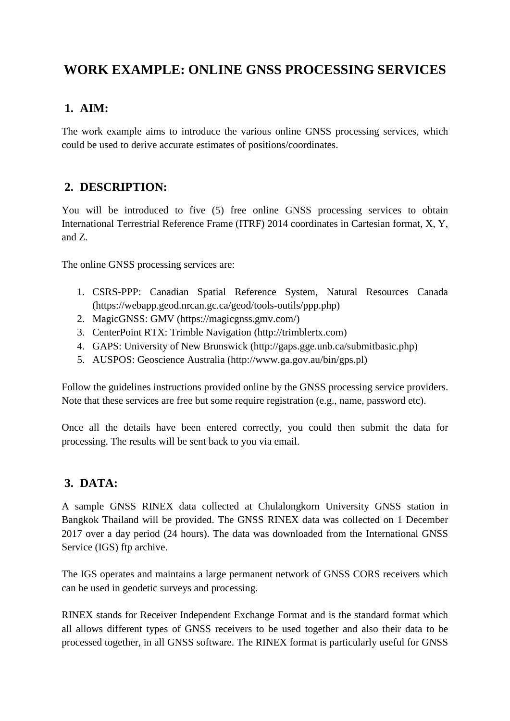# **WORK EXAMPLE: ONLINE GNSS PROCESSING SERVICES**

#### **1. AIM:**

The work example aims to introduce the various online GNSS processing services, which could be used to derive accurate estimates of positions/coordinates.

## **2. DESCRIPTION:**

You will be introduced to five (5) free online GNSS processing services to obtain International Terrestrial Reference Frame (ITRF) 2014 coordinates in Cartesian format, X, Y, and Z.

The online GNSS processing services are:

- 1. CSRS-PPP: Canadian Spatial Reference System, Natural Resources Canada (https://webapp.geod.nrcan.gc.ca/geod/tools-outils/ppp.php)
- 2. MagicGNSS: GMV (https://magicgnss.gmv.com/)
- 3. CenterPoint RTX: Trimble Navigation (http://trimblertx.com)
- 4. GAPS: University of New Brunswick (http://gaps.gge.unb.ca/submitbasic.php)
- 5. AUSPOS: Geoscience Australia (http://www.ga.gov.au/bin/gps.pl)

Follow the guidelines instructions provided online by the GNSS processing service providers. Note that these services are free but some require registration (e.g., name, password etc).

Once all the details have been entered correctly, you could then submit the data for processing. The results will be sent back to you via email.

## **3. DATA:**

A sample GNSS RINEX data collected at Chulalongkorn University GNSS station in Bangkok Thailand will be provided. The GNSS RINEX data was collected on 1 December 2017 over a day period (24 hours). The data was downloaded from the International GNSS Service (IGS) ftp archive.

The IGS operates and maintains a large permanent network of GNSS CORS receivers which can be used in geodetic surveys and processing.

RINEX stands for Receiver Independent Exchange Format and is the standard format which all allows different types of GNSS receivers to be used together and also their data to be processed together, in all GNSS software. The RINEX format is particularly useful for GNSS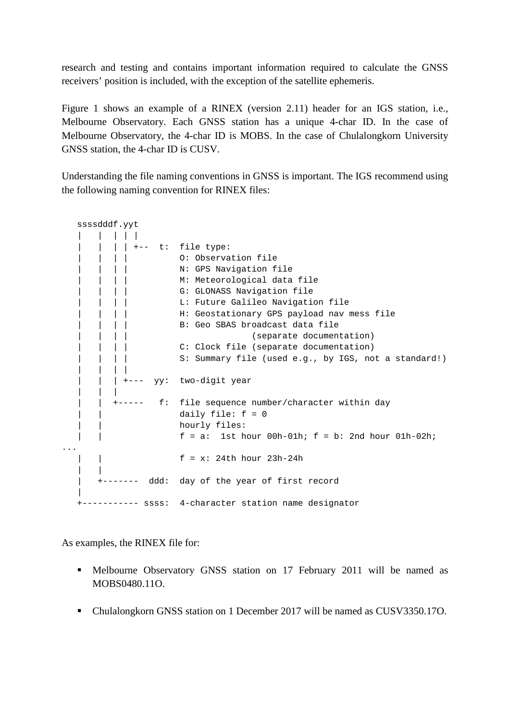research and testing and contains important information required to calculate the GNSS receivers' position is included, with the exception of the satellite ephemeris.

Figure 1 shows an example of a RINEX (version 2.11) header for an IGS station, i.e., Melbourne Observatory. Each GNSS station has a unique 4-char ID. In the case of Melbourne Observatory, the 4-char ID is MOBS. In the case of Chulalongkorn University GNSS station, the 4-char ID is CUSV.

Understanding the file naming conventions in GNSS is important. The IGS recommend using the following naming convention for RINEX files:

 ssssdddf.yyt | | | | |  $| | | +--$  t: file type: | | | | O: Observation file | | | | | N: GPS Navigation file | | | | M: Meteorological data file | | | G: GLONASS Navigation file<br>| | | L: Future Galileo Navigatio | | | | L: Future Galileo Navigation file | | | | H: Geostationary GPS payload nav mess file | | | | B: Geo SBAS broadcast data file | | | | (separate documentation) | | | C: Clock file (separate documentation) | | | S: Summary file (used e.g., by IGS, not a standard!) | | | | | +--- yy: two-digit year | | | | | +----- f: file sequence number/character within day | | daily file: f = 0 | hourly files: | | f = a: 1st hour 00h-01h; f = b: 2nd hour 01h-02h; ... | | f = x: 24th hour 23h-24h | | | +------- ddd: day of the year of first record | +----------- ssss: 4-character station name designator

As examples, the RINEX file for:

- Melbourne Observatory GNSS station on 17 February 2011 will be named as MOBS0480.11O.
- Chulalongkorn GNSS station on 1 December 2017 will be named as CUSV3350.17O.